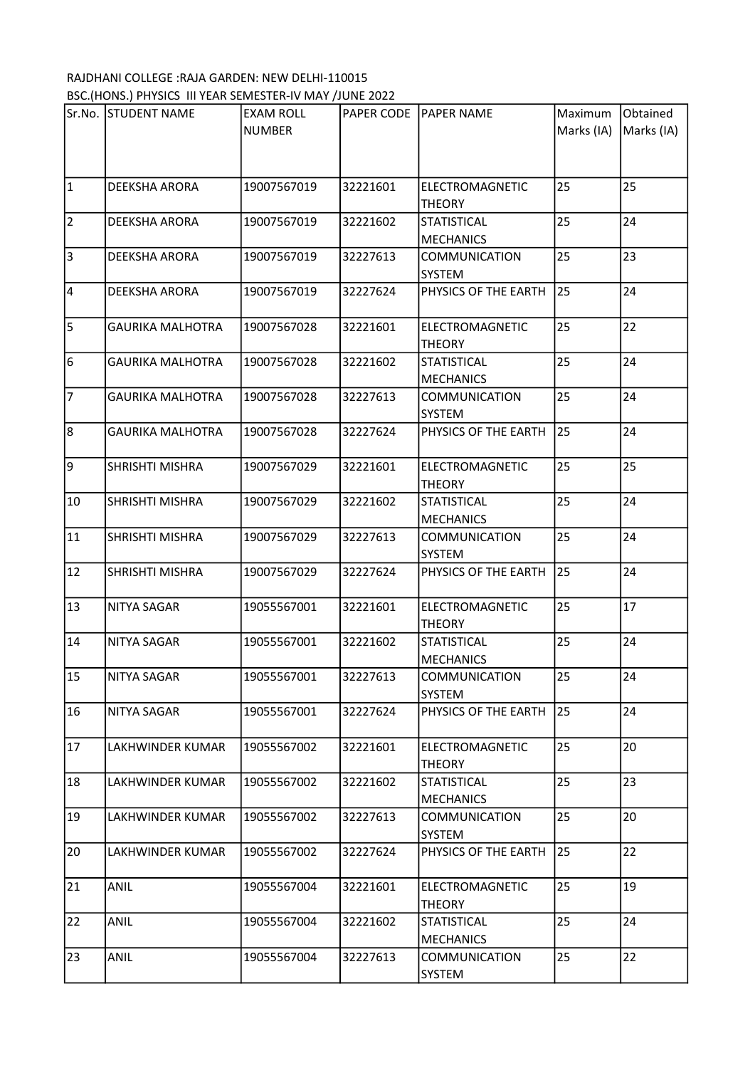## RAJDHANI COLLEGE :RAJA GARDEN: NEW DELHI-110015 BSC.(HONS.) PHYSICS III YEAR SEMESTER-IV MAY /JUNE 2022

|                | Sr.No. STUDENT NAME     | <b>EXAM ROLL</b> | PAPER CODE | <b>PAPER NAME</b>    | Maximum    | Obtained   |
|----------------|-------------------------|------------------|------------|----------------------|------------|------------|
|                |                         | <b>NUMBER</b>    |            |                      | Marks (IA) | Marks (IA) |
|                |                         |                  |            |                      |            |            |
|                |                         |                  |            |                      |            |            |
|                |                         |                  |            |                      |            |            |
| $\mathbf{1}$   | DEEKSHA ARORA           | 19007567019      | 32221601   | ELECTROMAGNETIC      | 25         | 25         |
|                |                         |                  |            | <b>THEORY</b>        |            |            |
| $\overline{2}$ | DEEKSHA ARORA           | 19007567019      | 32221602   | <b>STATISTICAL</b>   | 25         | 24         |
|                |                         |                  |            | <b>MECHANICS</b>     |            |            |
| $\overline{3}$ | DEEKSHA ARORA           | 19007567019      | 32227613   | <b>COMMUNICATION</b> | 25         | 23         |
|                |                         |                  |            | <b>SYSTEM</b>        |            |            |
| $\overline{4}$ | DEEKSHA ARORA           | 19007567019      | 32227624   | PHYSICS OF THE EARTH | 25         | 24         |
|                |                         |                  |            |                      |            |            |
| 5              | <b>GAURIKA MALHOTRA</b> | 19007567028      | 32221601   | ELECTROMAGNETIC      | 25         | 22         |
|                |                         |                  |            | <b>THEORY</b>        |            |            |
| 6              | <b>GAURIKA MALHOTRA</b> | 19007567028      | 32221602   | <b>STATISTICAL</b>   | 25         | 24         |
|                |                         |                  |            |                      |            |            |
|                |                         |                  |            | <b>MECHANICS</b>     |            |            |
| $\overline{7}$ | <b>GAURIKA MALHOTRA</b> | 19007567028      | 32227613   | <b>COMMUNICATION</b> | 25         | 24         |
|                |                         |                  |            | <b>SYSTEM</b>        |            |            |
| $\overline{8}$ | <b>GAURIKA MALHOTRA</b> | 19007567028      | 32227624   | PHYSICS OF THE EARTH | 25         | 24         |
|                |                         |                  |            |                      |            |            |
| 9              | SHRISHTI MISHRA         | 19007567029      | 32221601   | ELECTROMAGNETIC      | 25         | 25         |
|                |                         |                  |            | <b>THEORY</b>        |            |            |
| 10             | <b>SHRISHTI MISHRA</b>  | 19007567029      | 32221602   | <b>STATISTICAL</b>   | 25         | 24         |
|                |                         |                  |            | <b>MECHANICS</b>     |            |            |
| 11             | SHRISHTI MISHRA         | 19007567029      | 32227613   | <b>COMMUNICATION</b> | 25         | 24         |
|                |                         |                  |            | <b>SYSTEM</b>        |            |            |
| 12             | SHRISHTI MISHRA         | 19007567029      | 32227624   | PHYSICS OF THE EARTH | 25         | 24         |
|                |                         |                  |            |                      |            |            |
| 13             | NITYA SAGAR             | 19055567001      | 32221601   | ELECTROMAGNETIC      | 25         | 17         |
|                |                         |                  |            | <b>THEORY</b>        |            |            |
| 14             | <b>NITYA SAGAR</b>      | 19055567001      | 32221602   | <b>STATISTICAL</b>   | 25         | 24         |
|                |                         |                  |            |                      |            |            |
|                |                         |                  |            | <b>MECHANICS</b>     |            |            |
| 15             | <b>NITYA SAGAR</b>      | 19055567001      | 32227613   | COMMUNICATION        | 25         | 24         |
|                |                         |                  |            | SYSTEM               |            |            |
| 16             | NITYA SAGAR             | 19055567001      | 32227624   | PHYSICS OF THE EARTH | 25         | 24         |
|                |                         |                  |            |                      |            |            |
| 17             | LAKHWINDER KUMAR        | 19055567002      | 32221601   | ELECTROMAGNETIC      | 25         | 20         |
|                |                         |                  |            | <b>THEORY</b>        |            |            |
| 18             | LAKHWINDER KUMAR        | 19055567002      | 32221602   | <b>STATISTICAL</b>   | 25         | 23         |
|                |                         |                  |            | <b>MECHANICS</b>     |            |            |
| 19             | LAKHWINDER KUMAR        | 19055567002      | 32227613   | <b>COMMUNICATION</b> | 25         | 20         |
|                |                         |                  |            | SYSTEM               |            |            |
| 20             | LAKHWINDER KUMAR        | 19055567002      | 32227624   | PHYSICS OF THE EARTH | 25         | 22         |
|                |                         |                  |            |                      |            |            |
| 21             | <b>ANIL</b>             | 19055567004      | 32221601   | ELECTROMAGNETIC      | 25         | 19         |
|                |                         |                  |            | <b>THEORY</b>        |            |            |
| 22             | ANIL                    | 19055567004      | 32221602   | <b>STATISTICAL</b>   | 25         | 24         |
|                |                         |                  |            | <b>MECHANICS</b>     |            |            |
|                |                         |                  |            |                      | 25         |            |
| 23             | ANIL                    | 19055567004      | 32227613   | COMMUNICATION        |            | 22         |
|                |                         |                  |            | SYSTEM               |            |            |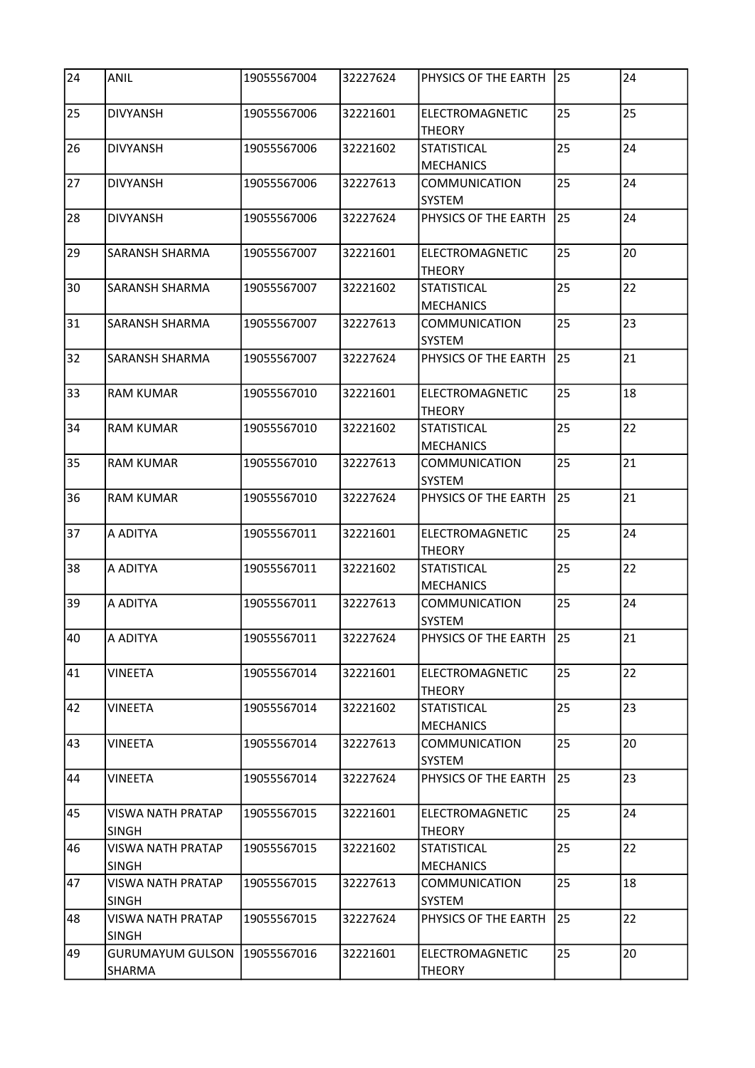| 24              | <b>ANIL</b>                              | 19055567004 | 32227624 | PHYSICS OF THE EARTH                   | 25 | 24 |
|-----------------|------------------------------------------|-------------|----------|----------------------------------------|----|----|
| 25              | <b>DIVYANSH</b>                          | 19055567006 | 32221601 | ELECTROMAGNETIC<br><b>THEORY</b>       | 25 | 25 |
| 26              | <b>DIVYANSH</b>                          | 19055567006 | 32221602 | <b>STATISTICAL</b><br><b>MECHANICS</b> | 25 | 24 |
| 27              | <b>DIVYANSH</b>                          | 19055567006 | 32227613 | <b>COMMUNICATION</b><br>SYSTEM         | 25 | 24 |
| 28              | <b>DIVYANSH</b>                          | 19055567006 | 32227624 | PHYSICS OF THE EARTH                   | 25 | 24 |
| 29              | SARANSH SHARMA                           | 19055567007 | 32221601 | ELECTROMAGNETIC<br><b>THEORY</b>       | 25 | 20 |
| 30              | SARANSH SHARMA                           | 19055567007 | 32221602 | <b>STATISTICAL</b><br><b>MECHANICS</b> | 25 | 22 |
| 31              | <b>SARANSH SHARMA</b>                    | 19055567007 | 32227613 | <b>COMMUNICATION</b><br><b>SYSTEM</b>  | 25 | 23 |
| 32              | SARANSH SHARMA                           | 19055567007 | 32227624 | PHYSICS OF THE EARTH                   | 25 | 21 |
| 33              | <b>RAM KUMAR</b>                         | 19055567010 | 32221601 | ELECTROMAGNETIC<br><b>THEORY</b>       | 25 | 18 |
| 34              | <b>RAM KUMAR</b>                         | 19055567010 | 32221602 | <b>STATISTICAL</b><br><b>MECHANICS</b> | 25 | 22 |
| 35              | <b>RAM KUMAR</b>                         | 19055567010 | 32227613 | COMMUNICATION<br><b>SYSTEM</b>         | 25 | 21 |
| 36              | <b>RAM KUMAR</b>                         | 19055567010 | 32227624 | PHYSICS OF THE EARTH                   | 25 | 21 |
| 37              | A ADITYA                                 | 19055567011 | 32221601 | ELECTROMAGNETIC<br><b>THEORY</b>       | 25 | 24 |
| 38              | A ADITYA                                 | 19055567011 | 32221602 | <b>STATISTICAL</b><br><b>MECHANICS</b> | 25 | 22 |
| 39              | A ADITYA                                 | 19055567011 | 32227613 | <b>COMMUNICATION</b><br>SYSTEM         | 25 | 24 |
| $\overline{40}$ | A ADITYA                                 | 19055567011 | 32227624 | PHYSICS OF THE EARTH                   | 25 | 21 |
| 41              | <b>VINEETA</b>                           | 19055567014 | 32221601 | ELECTROMAGNETIC<br><b>THEORY</b>       | 25 | 22 |
| 42              | <b>VINEETA</b>                           | 19055567014 | 32221602 | <b>STATISTICAL</b><br><b>MECHANICS</b> | 25 | 23 |
| 43              | VINEETA                                  | 19055567014 | 32227613 | COMMUNICATION<br>SYSTEM                | 25 | 20 |
| 44              | <b>VINEETA</b>                           | 19055567014 | 32227624 | PHYSICS OF THE EARTH                   | 25 | 23 |
| 45              | VISWA NATH PRATAP<br><b>SINGH</b>        | 19055567015 | 32221601 | ELECTROMAGNETIC<br>THEORY              | 25 | 24 |
| 46              | <b>VISWA NATH PRATAP</b><br><b>SINGH</b> | 19055567015 | 32221602 | STATISTICAL<br><b>MECHANICS</b>        | 25 | 22 |
| 47              | VISWA NATH PRATAP<br><b>SINGH</b>        | 19055567015 | 32227613 | COMMUNICATION<br>SYSTEM                | 25 | 18 |
| 48              | <b>VISWA NATH PRATAP</b><br><b>SINGH</b> | 19055567015 | 32227624 | PHYSICS OF THE EARTH                   | 25 | 22 |
| 49              | <b>GURUMAYUM GULSON</b><br>SHARMA        | 19055567016 | 32221601 | ELECTROMAGNETIC<br><b>THEORY</b>       | 25 | 20 |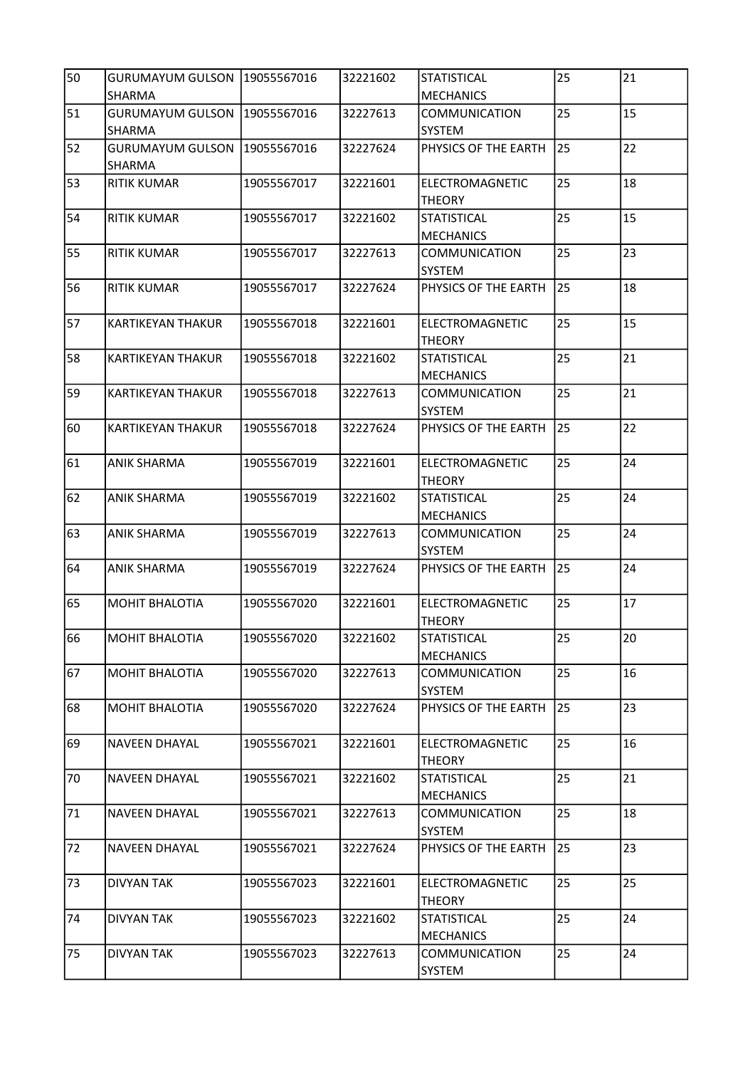| 50 | GURUMAYUM GULSON   19055567016<br>SHARMA |             | 32221602 | <b>STATISTICAL</b><br><b>MECHANICS</b>  | 25 | 21 |
|----|------------------------------------------|-------------|----------|-----------------------------------------|----|----|
| 51 | <b>GURUMAYUM GULSON</b><br><b>SHARMA</b> | 19055567016 | 32227613 | <b>COMMUNICATION</b><br>SYSTEM          | 25 | 15 |
| 52 | <b>GURUMAYUM GULSON</b><br>SHARMA        | 19055567016 | 32227624 | PHYSICS OF THE EARTH                    | 25 | 22 |
| 53 | <b>RITIK KUMAR</b>                       | 19055567017 | 32221601 | ELECTROMAGNETIC<br><b>THEORY</b>        | 25 | 18 |
| 54 | <b>RITIK KUMAR</b>                       | 19055567017 | 32221602 | <b>STATISTICAL</b><br><b>MECHANICS</b>  | 25 | 15 |
| 55 | <b>RITIK KUMAR</b>                       | 19055567017 | 32227613 | <b>COMMUNICATION</b><br><b>SYSTEM</b>   | 25 | 23 |
| 56 | <b>RITIK KUMAR</b>                       | 19055567017 | 32227624 | PHYSICS OF THE EARTH                    | 25 | 18 |
| 57 | KARTIKEYAN THAKUR                        | 19055567018 | 32221601 | <b>ELECTROMAGNETIC</b><br><b>THEORY</b> | 25 | 15 |
| 58 | KARTIKEYAN THAKUR                        | 19055567018 | 32221602 | <b>STATISTICAL</b><br><b>MECHANICS</b>  | 25 | 21 |
| 59 | KARTIKEYAN THAKUR                        | 19055567018 | 32227613 | <b>COMMUNICATION</b><br>SYSTEM          | 25 | 21 |
| 60 | <b>KARTIKEYAN THAKUR</b>                 | 19055567018 | 32227624 | PHYSICS OF THE EARTH                    | 25 | 22 |
| 61 | <b>ANIK SHARMA</b>                       | 19055567019 | 32221601 | ELECTROMAGNETIC<br><b>THEORY</b>        | 25 | 24 |
| 62 | <b>ANIK SHARMA</b>                       | 19055567019 | 32221602 | <b>STATISTICAL</b><br><b>MECHANICS</b>  | 25 | 24 |
| 63 | <b>ANIK SHARMA</b>                       | 19055567019 | 32227613 | <b>COMMUNICATION</b><br>SYSTEM          | 25 | 24 |
| 64 | <b>ANIK SHARMA</b>                       | 19055567019 | 32227624 | PHYSICS OF THE EARTH                    | 25 | 24 |
| 65 | <b>MOHIT BHALOTIA</b>                    | 19055567020 | 32221601 | ELECTROMAGNETIC<br><b>THEORY</b>        | 25 | 17 |
| 66 | <b>MOHIT BHALOTIA</b>                    | 19055567020 | 32221602 | <b>STATISTICAL</b><br><b>MECHANICS</b>  | 25 | 20 |
| 67 | MOHIT BHALOTIA                           | 19055567020 | 32227613 | COMMUNICATION<br>SYSTEM                 | 25 | 16 |
| 68 | MOHIT BHALOTIA                           | 19055567020 | 32227624 | PHYSICS OF THE EARTH                    | 25 | 23 |
| 69 | <b>NAVEEN DHAYAL</b>                     | 19055567021 | 32221601 | ELECTROMAGNETIC<br><b>THEORY</b>        | 25 | 16 |
| 70 | <b>NAVEEN DHAYAL</b>                     | 19055567021 | 32221602 | <b>STATISTICAL</b><br><b>MECHANICS</b>  | 25 | 21 |
| 71 | <b>NAVEEN DHAYAL</b>                     | 19055567021 | 32227613 | COMMUNICATION<br><b>SYSTEM</b>          | 25 | 18 |
| 72 | <b>NAVEEN DHAYAL</b>                     | 19055567021 | 32227624 | PHYSICS OF THE EARTH                    | 25 | 23 |
| 73 | <b>DIVYAN TAK</b>                        | 19055567023 | 32221601 | ELECTROMAGNETIC<br><b>THEORY</b>        | 25 | 25 |
| 74 | <b>DIVYAN TAK</b>                        | 19055567023 | 32221602 | STATISTICAL<br><b>MECHANICS</b>         | 25 | 24 |
| 75 | <b>DIVYAN TAK</b>                        | 19055567023 | 32227613 | COMMUNICATION<br>SYSTEM                 | 25 | 24 |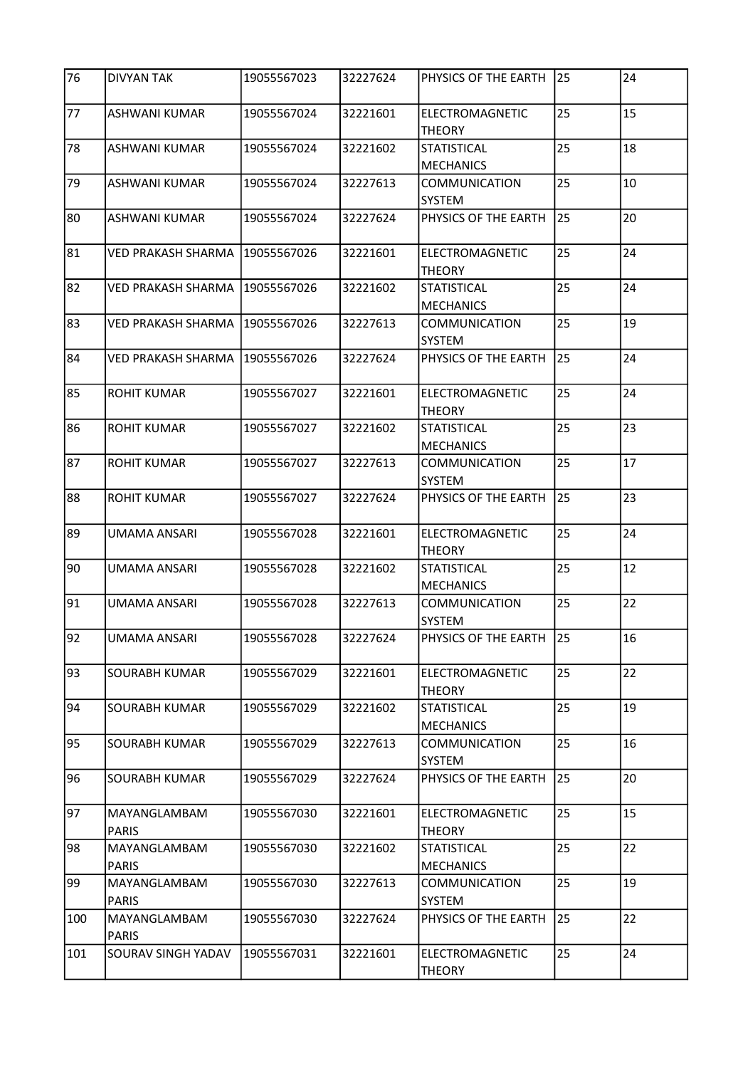| 76  | <b>DIVYAN TAK</b>            | 19055567023 | 32227624 | PHYSICS OF THE EARTH                   | 25 | 24 |
|-----|------------------------------|-------------|----------|----------------------------------------|----|----|
| 77  | <b>ASHWANI KUMAR</b>         | 19055567024 | 32221601 | ELECTROMAGNETIC<br><b>THEORY</b>       | 25 | 15 |
| 78  | <b>ASHWANI KUMAR</b>         | 19055567024 | 32221602 | <b>STATISTICAL</b><br><b>MECHANICS</b> | 25 | 18 |
| 79  | ASHWANI KUMAR                | 19055567024 | 32227613 | <b>COMMUNICATION</b><br>SYSTEM         | 25 | 10 |
| 80  | <b>ASHWANI KUMAR</b>         | 19055567024 | 32227624 | PHYSICS OF THE EARTH                   | 25 | 20 |
| 81  | <b>VED PRAKASH SHARMA</b>    | 19055567026 | 32221601 | ELECTROMAGNETIC<br><b>THEORY</b>       | 25 | 24 |
| 82  | VED PRAKASH SHARMA           | 19055567026 | 32221602 | <b>STATISTICAL</b><br><b>MECHANICS</b> | 25 | 24 |
| 83  | <b>VED PRAKASH SHARMA</b>    | 19055567026 | 32227613 | <b>COMMUNICATION</b><br>SYSTEM         | 25 | 19 |
| 84  | <b>VED PRAKASH SHARMA</b>    | 19055567026 | 32227624 | PHYSICS OF THE EARTH                   | 25 | 24 |
| 85  | <b>ROHIT KUMAR</b>           | 19055567027 | 32221601 | ELECTROMAGNETIC<br><b>THEORY</b>       | 25 | 24 |
| 86  | <b>ROHIT KUMAR</b>           | 19055567027 | 32221602 | <b>STATISTICAL</b><br><b>MECHANICS</b> | 25 | 23 |
| 87  | <b>ROHIT KUMAR</b>           | 19055567027 | 32227613 | <b>COMMUNICATION</b><br><b>SYSTEM</b>  | 25 | 17 |
| 88  | <b>ROHIT KUMAR</b>           | 19055567027 | 32227624 | PHYSICS OF THE EARTH                   | 25 | 23 |
| 89  | <b>UMAMA ANSARI</b>          | 19055567028 | 32221601 | ELECTROMAGNETIC<br><b>THEORY</b>       | 25 | 24 |
| 90  | UMAMA ANSARI                 | 19055567028 | 32221602 | <b>STATISTICAL</b><br><b>MECHANICS</b> | 25 | 12 |
| 91  | <b>UMAMA ANSARI</b>          | 19055567028 | 32227613 | <b>COMMUNICATION</b><br>SYSTEM         | 25 | 22 |
| 92  | UMAMA ANSARI                 | 19055567028 | 32227624 | PHYSICS OF THE EARTH                   | 25 | 16 |
| 93  | SOURABH KUMAR                | 19055567029 | 32221601 | ELECTROMAGNETIC<br><b>THEORY</b>       | 25 | 22 |
| 94  | SOURABH KUMAR                | 19055567029 | 32221602 | <b>STATISTICAL</b><br><b>MECHANICS</b> | 25 | 19 |
| 95  | SOURABH KUMAR                | 19055567029 | 32227613 | COMMUNICATION<br>SYSTEM                | 25 | 16 |
| 96  | <b>SOURABH KUMAR</b>         | 19055567029 | 32227624 | PHYSICS OF THE EARTH                   | 25 | 20 |
| 97  | MAYANGLAMBAM<br><b>PARIS</b> | 19055567030 | 32221601 | ELECTROMAGNETIC<br><b>THEORY</b>       | 25 | 15 |
| 98  | MAYANGLAMBAM<br><b>PARIS</b> | 19055567030 | 32221602 | <b>STATISTICAL</b><br><b>MECHANICS</b> | 25 | 22 |
| 99  | MAYANGLAMBAM<br><b>PARIS</b> | 19055567030 | 32227613 | COMMUNICATION<br>SYSTEM                | 25 | 19 |
| 100 | MAYANGLAMBAM<br><b>PARIS</b> | 19055567030 | 32227624 | PHYSICS OF THE EARTH                   | 25 | 22 |
| 101 | SOURAV SINGH YADAV           | 19055567031 | 32221601 | ELECTROMAGNETIC<br><b>THEORY</b>       | 25 | 24 |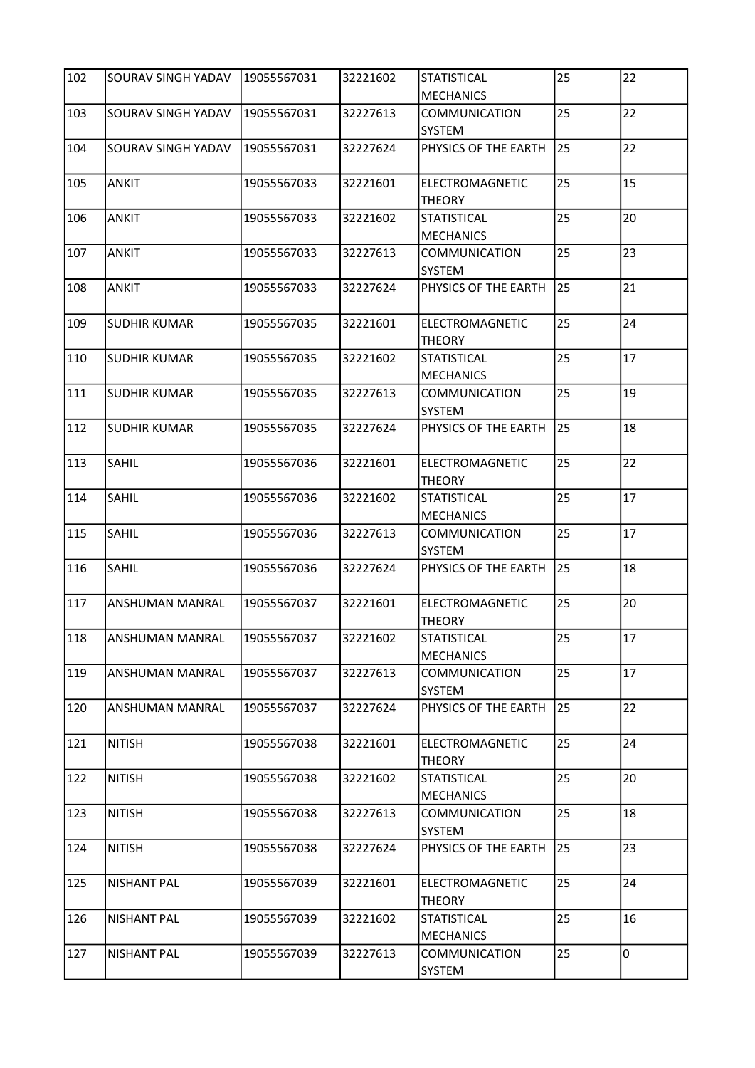| 102              | SOURAV SINGH YADAV  | 19055567031 | 32221602 | <b>STATISTICAL</b><br><b>MECHANICS</b> | 25              | 22 |
|------------------|---------------------|-------------|----------|----------------------------------------|-----------------|----|
| 103              | SOURAV SINGH YADAV  | 19055567031 | 32227613 | COMMUNICATION<br><b>SYSTEM</b>         | 25              | 22 |
| 104              | SOURAV SINGH YADAV  | 19055567031 | 32227624 | PHYSICS OF THE EARTH                   | 25              | 22 |
| 105              | <b>ANKIT</b>        | 19055567033 | 32221601 | ELECTROMAGNETIC<br><b>THEORY</b>       | 25              | 15 |
| 106              | <b>ANKIT</b>        | 19055567033 | 32221602 | STATISTICAL<br><b>MECHANICS</b>        | 25              | 20 |
| 107              | <b>ANKIT</b>        | 19055567033 | 32227613 | COMMUNICATION<br>SYSTEM                | 25              | 23 |
| 108              | <b>ANKIT</b>        | 19055567033 | 32227624 | PHYSICS OF THE EARTH                   | 25              | 21 |
| 109              | <b>SUDHIR KUMAR</b> | 19055567035 | 32221601 | ELECTROMAGNETIC<br><b>THEORY</b>       | 25              | 24 |
| 110              | <b>SUDHIR KUMAR</b> | 19055567035 | 32221602 | <b>STATISTICAL</b><br><b>MECHANICS</b> | 25              | 17 |
| 111              | <b>SUDHIR KUMAR</b> | 19055567035 | 32227613 | <b>COMMUNICATION</b><br>SYSTEM         | 25              | 19 |
| 112              | <b>SUDHIR KUMAR</b> | 19055567035 | 32227624 | PHYSICS OF THE EARTH                   | 25              | 18 |
| 113              | SAHIL               | 19055567036 | 32221601 | ELECTROMAGNETIC<br><b>THEORY</b>       | 25              | 22 |
| 114              | SAHIL               | 19055567036 | 32221602 | <b>STATISTICAL</b><br><b>MECHANICS</b> | 25              | 17 |
| 115              | SAHIL               | 19055567036 | 32227613 | COMMUNICATION<br>SYSTEM                | 25              | 17 |
| 116              | SAHIL               | 19055567036 | 32227624 | PHYSICS OF THE EARTH                   | 25              | 18 |
| 117              | ANSHUMAN MANRAL     | 19055567037 | 32221601 | ELECTROMAGNETIC<br><b>THEORY</b>       | 25              | 20 |
| $\overline{118}$ | ANSHUMAN MANRAL     | 19055567037 | 32221602 | ISTATISTICAL<br><b>MECHANICS</b>       | $\overline{25}$ | 17 |
| 119              | ANSHUMAN MANRAL     | 19055567037 | 32227613 | COMMUNICATION<br>SYSTEM                | 25              | 17 |
| 120              | ANSHUMAN MANRAL     | 19055567037 | 32227624 | PHYSICS OF THE EARTH                   | 25              | 22 |
| 121              | <b>NITISH</b>       | 19055567038 | 32221601 | ELECTROMAGNETIC<br><b>THEORY</b>       | 25              | 24 |
| 122              | <b>NITISH</b>       | 19055567038 | 32221602 | <b>STATISTICAL</b><br><b>MECHANICS</b> | 25              | 20 |
| 123              | <b>NITISH</b>       | 19055567038 | 32227613 | COMMUNICATION<br>SYSTEM                | 25              | 18 |
| 124              | <b>NITISH</b>       | 19055567038 | 32227624 | PHYSICS OF THE EARTH                   | 25              | 23 |
| 125              | <b>NISHANT PAL</b>  | 19055567039 | 32221601 | ELECTROMAGNETIC<br><b>THEORY</b>       | 25              | 24 |
| 126              | <b>NISHANT PAL</b>  | 19055567039 | 32221602 | <b>STATISTICAL</b><br><b>MECHANICS</b> | 25              | 16 |
| 127              | <b>NISHANT PAL</b>  | 19055567039 | 32227613 | COMMUNICATION<br>SYSTEM                | 25              | 0  |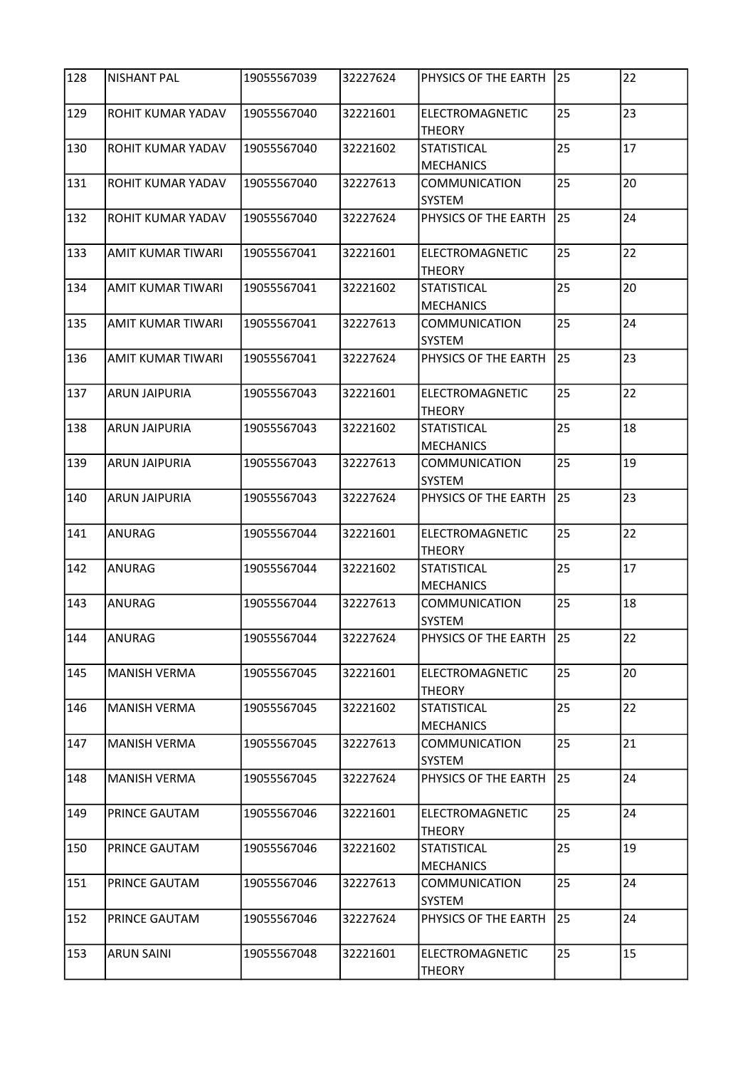| 128 | <b>NISHANT PAL</b>       | 19055567039 | 32227624 | PHYSICS OF THE EARTH                   | 25 | 22 |
|-----|--------------------------|-------------|----------|----------------------------------------|----|----|
| 129 | ROHIT KUMAR YADAV        | 19055567040 | 32221601 | ELECTROMAGNETIC<br><b>THEORY</b>       | 25 | 23 |
| 130 | ROHIT KUMAR YADAV        | 19055567040 | 32221602 | <b>STATISTICAL</b><br><b>MECHANICS</b> | 25 | 17 |
| 131 | ROHIT KUMAR YADAV        | 19055567040 | 32227613 | <b>COMMUNICATION</b><br><b>SYSTEM</b>  | 25 | 20 |
| 132 | ROHIT KUMAR YADAV        | 19055567040 | 32227624 | PHYSICS OF THE EARTH                   | 25 | 24 |
| 133 | <b>AMIT KUMAR TIWARI</b> | 19055567041 | 32221601 | ELECTROMAGNETIC<br><b>THEORY</b>       | 25 | 22 |
| 134 | AMIT KUMAR TIWARI        | 19055567041 | 32221602 | <b>STATISTICAL</b><br><b>MECHANICS</b> | 25 | 20 |
| 135 | AMIT KUMAR TIWARI        | 19055567041 | 32227613 | <b>COMMUNICATION</b><br><b>SYSTEM</b>  | 25 | 24 |
| 136 | AMIT KUMAR TIWARI        | 19055567041 | 32227624 | PHYSICS OF THE EARTH                   | 25 | 23 |
| 137 | <b>ARUN JAIPURIA</b>     | 19055567043 | 32221601 | ELECTROMAGNETIC<br><b>THEORY</b>       | 25 | 22 |
| 138 | <b>ARUN JAIPURIA</b>     | 19055567043 | 32221602 | <b>STATISTICAL</b><br><b>MECHANICS</b> | 25 | 18 |
| 139 | <b>ARUN JAIPURIA</b>     | 19055567043 | 32227613 | <b>COMMUNICATION</b><br><b>SYSTEM</b>  | 25 | 19 |
| 140 | <b>ARUN JAIPURIA</b>     | 19055567043 | 32227624 | PHYSICS OF THE EARTH                   | 25 | 23 |
| 141 | ANURAG                   | 19055567044 | 32221601 | ELECTROMAGNETIC<br><b>THEORY</b>       | 25 | 22 |
| 142 | <b>ANURAG</b>            | 19055567044 | 32221602 | <b>STATISTICAL</b><br><b>MECHANICS</b> | 25 | 17 |
| 143 | ANURAG                   | 19055567044 | 32227613 | <b>COMMUNICATION</b><br>SYSTEM         | 25 | 18 |
| 144 | ANURAG                   | 19055567044 | 32227624 | PHYSICS OF THE EARTH                   | 25 | 22 |
| 145 | <b>MANISH VERMA</b>      | 19055567045 | 32221601 | ELECTROMAGNETIC<br><b>THEORY</b>       | 25 | 20 |
| 146 | <b>MANISH VERMA</b>      | 19055567045 | 32221602 | <b>STATISTICAL</b><br><b>MECHANICS</b> | 25 | 22 |
| 147 | <b>MANISH VERMA</b>      | 19055567045 | 32227613 | <b>COMMUNICATION</b><br>SYSTEM         | 25 | 21 |
| 148 | <b>MANISH VERMA</b>      | 19055567045 | 32227624 | PHYSICS OF THE EARTH                   | 25 | 24 |
| 149 | PRINCE GAUTAM            | 19055567046 | 32221601 | ELECTROMAGNETIC<br><b>THEORY</b>       | 25 | 24 |
| 150 | PRINCE GAUTAM            | 19055567046 | 32221602 | <b>STATISTICAL</b><br><b>MECHANICS</b> | 25 | 19 |
| 151 | PRINCE GAUTAM            | 19055567046 | 32227613 | COMMUNICATION<br>SYSTEM                | 25 | 24 |
| 152 | PRINCE GAUTAM            | 19055567046 | 32227624 | PHYSICS OF THE EARTH                   | 25 | 24 |
| 153 | <b>ARUN SAINI</b>        | 19055567048 | 32221601 | ELECTROMAGNETIC<br><b>THEORY</b>       | 25 | 15 |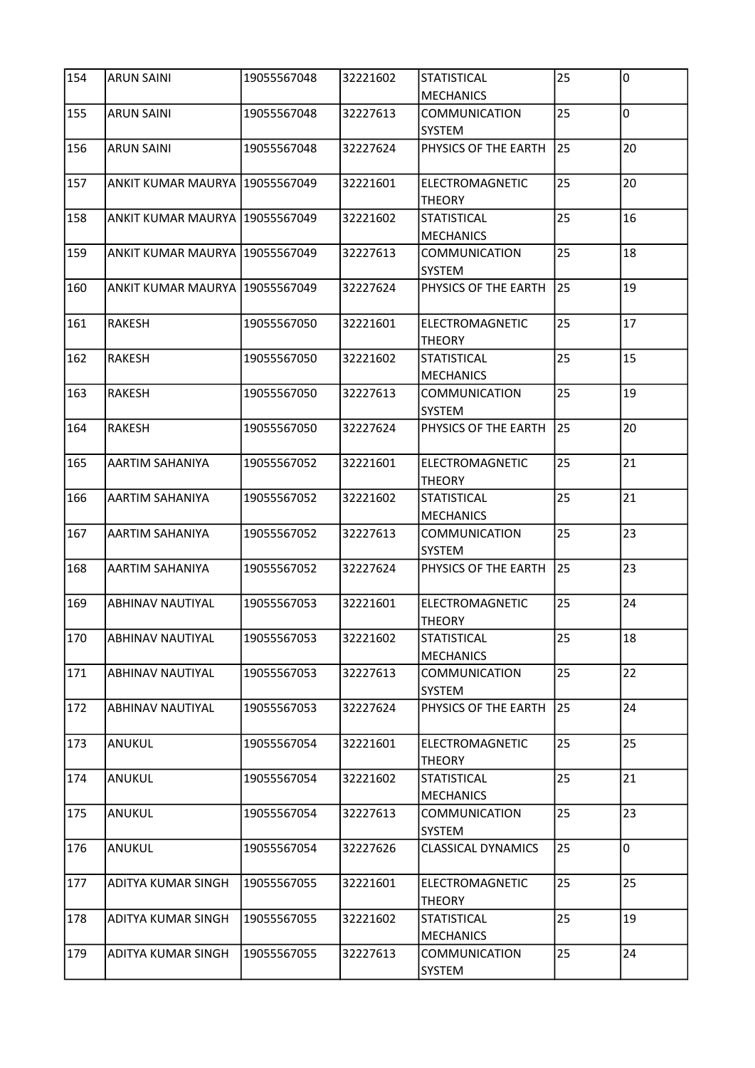| 154              | <b>ARUN SAINI</b>                | 19055567048 | 32221602 | <b>STATISTICAL</b><br><b>MECHANICS</b>  | 25 | l0             |
|------------------|----------------------------------|-------------|----------|-----------------------------------------|----|----------------|
| 155              | <b>ARUN SAINI</b>                | 19055567048 | 32227613 | <b>COMMUNICATION</b><br>SYSTEM          | 25 | $\overline{0}$ |
| 156              | <b>ARUN SAINI</b>                | 19055567048 | 32227624 | PHYSICS OF THE EARTH                    | 25 | 20             |
| 157              | ANKIT KUMAR MAURYA 19055567049   |             | 32221601 | ELECTROMAGNETIC<br><b>THEORY</b>        | 25 | 20             |
| 158              | ANKIT KUMAR MAURYA 19055567049   |             | 32221602 | <b>STATISTICAL</b><br><b>MECHANICS</b>  | 25 | 16             |
| 159              | ANKIT KUMAR MAURYA 19055567049   |             | 32227613 | <b>COMMUNICATION</b><br><b>SYSTEM</b>   | 25 | 18             |
| 160              | ANKIT KUMAR MAURYA   19055567049 |             | 32227624 | PHYSICS OF THE EARTH                    | 25 | 19             |
| 161              | <b>RAKESH</b>                    | 19055567050 | 32221601 | <b>ELECTROMAGNETIC</b><br><b>THEORY</b> | 25 | 17             |
| 162              | RAKESH                           | 19055567050 | 32221602 | <b>STATISTICAL</b><br><b>MECHANICS</b>  | 25 | 15             |
| 163              | <b>RAKESH</b>                    | 19055567050 | 32227613 | COMMUNICATION<br><b>SYSTEM</b>          | 25 | 19             |
| 164              | <b>RAKESH</b>                    | 19055567050 | 32227624 | PHYSICS OF THE EARTH                    | 25 | 20             |
| 165              | <b>AARTIM SAHANIYA</b>           | 19055567052 | 32221601 | ELECTROMAGNETIC<br><b>THEORY</b>        | 25 | 21             |
| 166              | AARTIM SAHANIYA                  | 19055567052 | 32221602 | <b>STATISTICAL</b><br><b>MECHANICS</b>  | 25 | 21             |
| 167              | <b>AARTIM SAHANIYA</b>           | 19055567052 | 32227613 | <b>COMMUNICATION</b><br>SYSTEM          | 25 | 23             |
| 168              | AARTIM SAHANIYA                  | 19055567052 | 32227624 | PHYSICS OF THE EARTH                    | 25 | 23             |
| 169              | <b>ABHINAV NAUTIYAL</b>          | 19055567053 | 32221601 | ELECTROMAGNETIC<br><b>THEORY</b>        | 25 | 24             |
| $\overline{170}$ | <b>ABHINAV NAUTIYAL</b>          | 19055567053 | 32221602 | <b>STATISTICAL</b><br><b>MECHANICS</b>  | 25 | 18             |
| 171              | <b>ABHINAV NAUTIYAL</b>          | 19055567053 | 32227613 | COMMUNICATION<br>SYSTEM                 | 25 | 22             |
| 172              | <b>ABHINAV NAUTIYAL</b>          | 19055567053 | 32227624 | PHYSICS OF THE EARTH                    | 25 | 24             |
| 173              | ANUKUL                           | 19055567054 | 32221601 | ELECTROMAGNETIC<br><b>THEORY</b>        | 25 | 25             |
| 174              | ANUKUL                           | 19055567054 | 32221602 | <b>STATISTICAL</b><br><b>MECHANICS</b>  | 25 | 21             |
| 175              | ANUKUL                           | 19055567054 | 32227613 | COMMUNICATION<br><b>SYSTEM</b>          | 25 | 23             |
| 176              | ANUKUL                           | 19055567054 | 32227626 | <b>CLASSICAL DYNAMICS</b>               | 25 | 0              |
| 177              | ADITYA KUMAR SINGH               | 19055567055 | 32221601 | ELECTROMAGNETIC<br><b>THEORY</b>        | 25 | 25             |
| 178              | ADITYA KUMAR SINGH               | 19055567055 | 32221602 | STATISTICAL<br><b>MECHANICS</b>         | 25 | 19             |
| 179              | ADITYA KUMAR SINGH               | 19055567055 | 32227613 | COMMUNICATION<br>SYSTEM                 | 25 | 24             |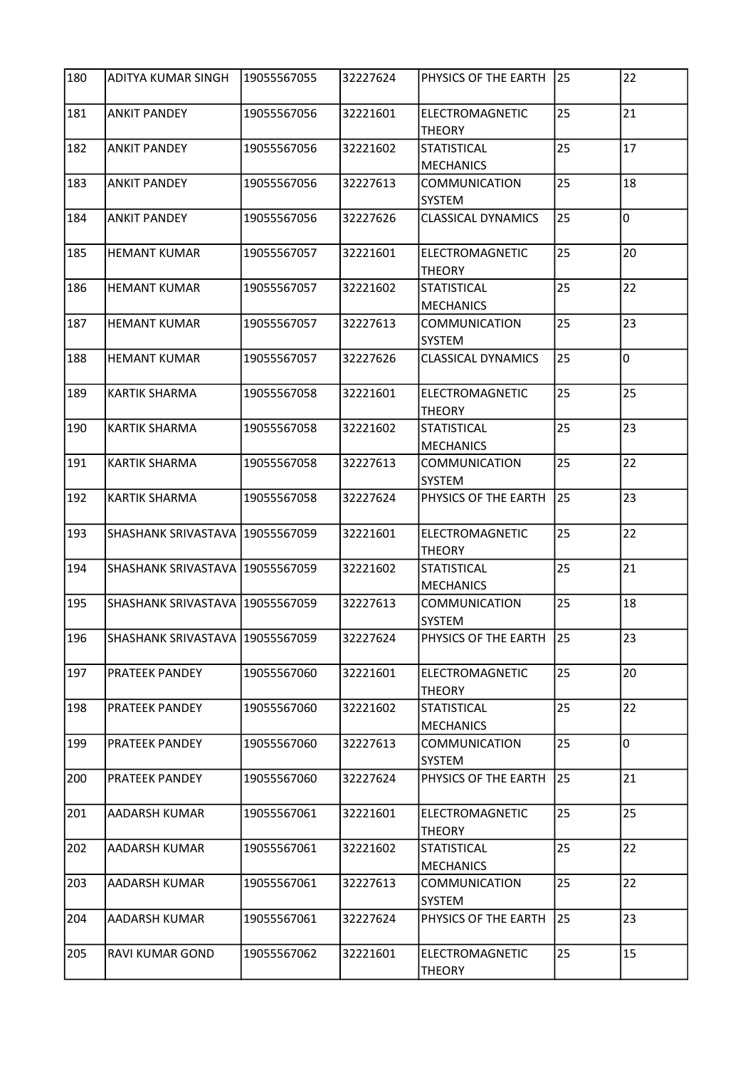| 180 | <b>ADITYA KUMAR SINGH</b>         | 19055567055 | 32227624 | PHYSICS OF THE EARTH                   | 25 | 22             |
|-----|-----------------------------------|-------------|----------|----------------------------------------|----|----------------|
| 181 | <b>ANKIT PANDEY</b>               | 19055567056 | 32221601 | ELECTROMAGNETIC<br><b>THEORY</b>       | 25 | 21             |
| 182 | <b>ANKIT PANDEY</b>               | 19055567056 | 32221602 | <b>STATISTICAL</b><br><b>MECHANICS</b> | 25 | 17             |
| 183 | <b>ANKIT PANDEY</b>               | 19055567056 | 32227613 | <b>COMMUNICATION</b><br>SYSTEM         | 25 | 18             |
| 184 | <b>ANKIT PANDEY</b>               | 19055567056 | 32227626 | <b>CLASSICAL DYNAMICS</b>              | 25 | $\overline{0}$ |
| 185 | <b>HEMANT KUMAR</b>               | 19055567057 | 32221601 | ELECTROMAGNETIC<br><b>THEORY</b>       | 25 | 20             |
| 186 | <b>HEMANT KUMAR</b>               | 19055567057 | 32221602 | <b>STATISTICAL</b><br><b>MECHANICS</b> | 25 | 22             |
| 187 | <b>HEMANT KUMAR</b>               | 19055567057 | 32227613 | COMMUNICATION<br>SYSTEM                | 25 | 23             |
| 188 | <b>HEMANT KUMAR</b>               | 19055567057 | 32227626 | <b>CLASSICAL DYNAMICS</b>              | 25 | $\overline{0}$ |
| 189 | <b>KARTIK SHARMA</b>              | 19055567058 | 32221601 | ELECTROMAGNETIC<br><b>THEORY</b>       | 25 | 25             |
| 190 | <b>KARTIK SHARMA</b>              | 19055567058 | 32221602 | <b>STATISTICAL</b><br><b>MECHANICS</b> | 25 | 23             |
| 191 | <b>KARTIK SHARMA</b>              | 19055567058 | 32227613 | COMMUNICATION<br>SYSTEM                | 25 | 22             |
| 192 | <b>KARTIK SHARMA</b>              | 19055567058 | 32227624 | PHYSICS OF THE EARTH                   | 25 | 23             |
| 193 | SHASHANK SRIVASTAVA 19055567059   |             | 32221601 | ELECTROMAGNETIC<br><b>THEORY</b>       | 25 | 22             |
| 194 | SHASHANK SRIVASTAVA 19055567059   |             | 32221602 | <b>STATISTICAL</b><br><b>MECHANICS</b> | 25 | 21             |
| 195 | SHASHANK SRIVASTAVA   19055567059 |             | 32227613 | <b>COMMUNICATION</b><br>SYSTEM         | 25 | 18             |
| 196 | SHASHANK SRIVASTAVA 19055567059   |             | 32227624 | PHYSICS OF THE EARTH                   | 25 | 23             |
| 197 | PRATEEK PANDEY                    | 19055567060 | 32221601 | ELECTROMAGNETIC<br><b>THEORY</b>       | 25 | 20             |
| 198 | PRATEEK PANDEY                    | 19055567060 | 32221602 | <b>STATISTICAL</b><br><b>MECHANICS</b> | 25 | 22             |
| 199 | PRATEEK PANDEY                    | 19055567060 | 32227613 | COMMUNICATION<br>SYSTEM                | 25 | $\overline{0}$ |
| 200 | PRATEEK PANDEY                    | 19055567060 | 32227624 | PHYSICS OF THE EARTH                   | 25 | 21             |
| 201 | AADARSH KUMAR                     | 19055567061 | 32221601 | ELECTROMAGNETIC<br>THEORY              | 25 | 25             |
| 202 | AADARSH KUMAR                     | 19055567061 | 32221602 | STATISTICAL<br><b>MECHANICS</b>        | 25 | 22             |
| 203 | AADARSH KUMAR                     | 19055567061 | 32227613 | COMMUNICATION<br>SYSTEM                | 25 | 22             |
| 204 | AADARSH KUMAR                     | 19055567061 | 32227624 | PHYSICS OF THE EARTH                   | 25 | 23             |
| 205 | RAVI KUMAR GOND                   | 19055567062 | 32221601 | ELECTROMAGNETIC<br><b>THEORY</b>       | 25 | 15             |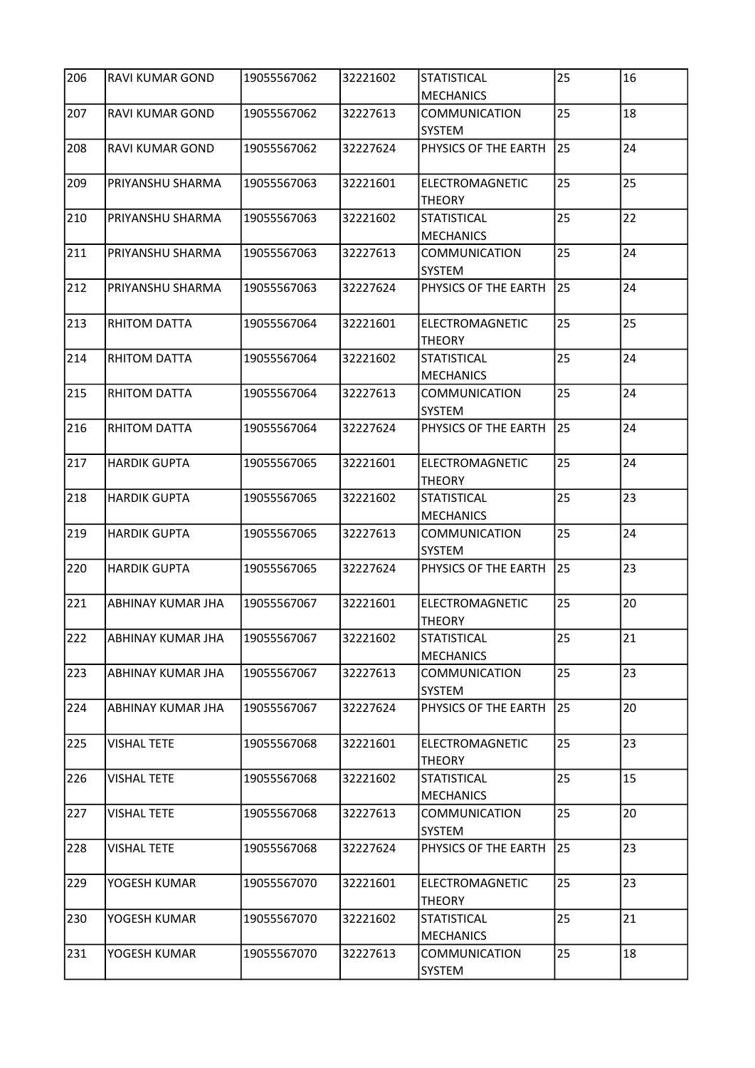| 206              | RAVI KUMAR GOND          | 19055567062 | 32221602 | <b>STATISTICAL</b><br><b>MECHANICS</b> | 25              | 16 |
|------------------|--------------------------|-------------|----------|----------------------------------------|-----------------|----|
| 207              | RAVI KUMAR GOND          | 19055567062 | 32227613 | COMMUNICATION<br><b>SYSTEM</b>         | 25              | 18 |
| 208              | <b>RAVI KUMAR GOND</b>   | 19055567062 | 32227624 | PHYSICS OF THE EARTH                   | 25              | 24 |
| 209              | PRIYANSHU SHARMA         | 19055567063 | 32221601 | ELECTROMAGNETIC<br><b>THEORY</b>       | 25              | 25 |
| 210              | PRIYANSHU SHARMA         | 19055567063 | 32221602 | <b>STATISTICAL</b><br><b>MECHANICS</b> | 25              | 22 |
| 211              | PRIYANSHU SHARMA         | 19055567063 | 32227613 | <b>COMMUNICATION</b><br>SYSTEM         | 25              | 24 |
| 212              | PRIYANSHU SHARMA         | 19055567063 | 32227624 | PHYSICS OF THE EARTH                   | 25              | 24 |
| 213              | <b>RHITOM DATTA</b>      | 19055567064 | 32221601 | ELECTROMAGNETIC<br><b>THEORY</b>       | 25              | 25 |
| 214              | <b>RHITOM DATTA</b>      | 19055567064 | 32221602 | <b>STATISTICAL</b><br><b>MECHANICS</b> | 25              | 24 |
| 215              | RHITOM DATTA             | 19055567064 | 32227613 | <b>COMMUNICATION</b><br>SYSTEM         | 25              | 24 |
| 216              | <b>RHITOM DATTA</b>      | 19055567064 | 32227624 | PHYSICS OF THE EARTH                   | 25              | 24 |
| 217              | <b>HARDIK GUPTA</b>      | 19055567065 | 32221601 | ELECTROMAGNETIC<br><b>THEORY</b>       | 25              | 24 |
| 218              | <b>HARDIK GUPTA</b>      | 19055567065 | 32221602 | <b>STATISTICAL</b><br><b>MECHANICS</b> | 25              | 23 |
| 219              | <b>HARDIK GUPTA</b>      | 19055567065 | 32227613 | <b>COMMUNICATION</b><br>SYSTEM         | 25              | 24 |
| 220              | <b>HARDIK GUPTA</b>      | 19055567065 | 32227624 | PHYSICS OF THE EARTH                   | 25              | 23 |
| 221              | ABHINAY KUMAR JHA        | 19055567067 | 32221601 | ELECTROMAGNETIC<br><b>THEORY</b>       | 25              | 20 |
| $\overline{222}$ | <b>ABHINAY KUMAR JHA</b> | 19055567067 | 32221602 | ISTATISTICAL<br><b>MECHANICS</b>       | $\overline{25}$ | 21 |
| 223              | ABHINAY KUMAR JHA        | 19055567067 | 32227613 | COMMUNICATION<br>SYSTEM                | 25              | 23 |
| 224              | ABHINAY KUMAR JHA        | 19055567067 | 32227624 | PHYSICS OF THE EARTH                   | 25              | 20 |
| 225              | <b>VISHAL TETE</b>       | 19055567068 | 32221601 | ELECTROMAGNETIC<br><b>THEORY</b>       | 25              | 23 |
| 226              | <b>VISHAL TETE</b>       | 19055567068 | 32221602 | <b>STATISTICAL</b><br><b>MECHANICS</b> | 25              | 15 |
| 227              | <b>VISHAL TETE</b>       | 19055567068 | 32227613 | COMMUNICATION<br>SYSTEM                | 25              | 20 |
| 228              | <b>VISHAL TETE</b>       | 19055567068 | 32227624 | PHYSICS OF THE EARTH                   | 25              | 23 |
| 229              | YOGESH KUMAR             | 19055567070 | 32221601 | ELECTROMAGNETIC<br><b>THEORY</b>       | 25              | 23 |
| 230              | YOGESH KUMAR             | 19055567070 | 32221602 | <b>STATISTICAL</b><br><b>MECHANICS</b> | 25              | 21 |
| 231              | YOGESH KUMAR             | 19055567070 | 32227613 | COMMUNICATION<br>SYSTEM                | 25              | 18 |